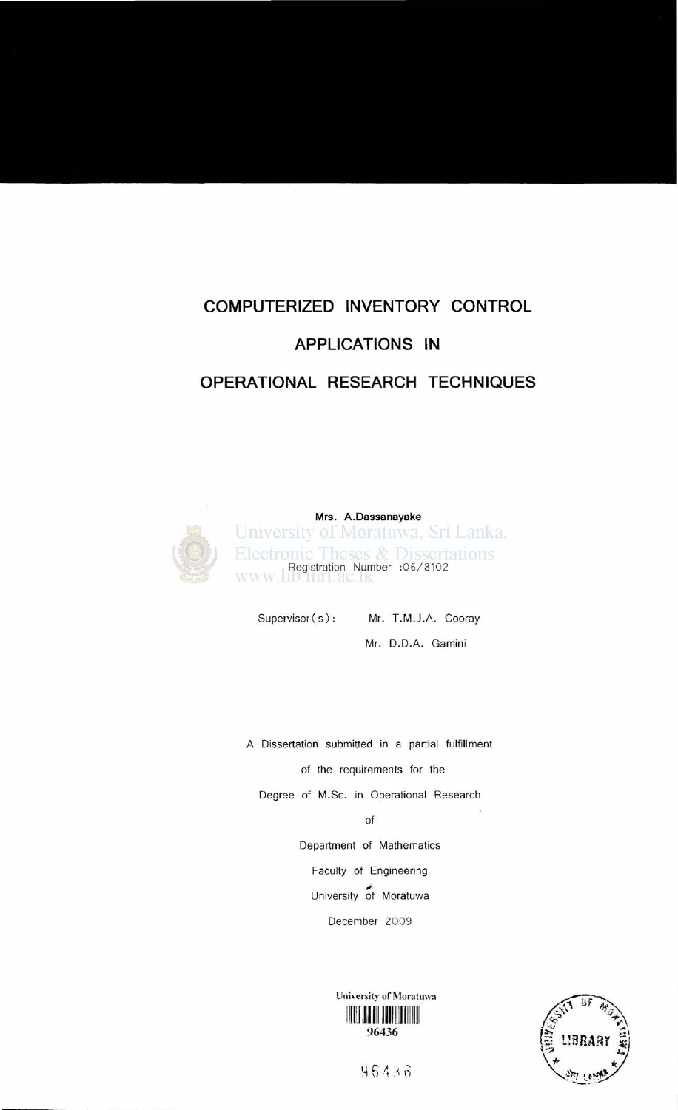# **COMPUTERIZED INVENTORY CONTROL APPLICATIONS IN**

#### **OPERATIONAL RESEARCH TECHNIQUES**



Mrs. A.Dassanayake University of Moratuwa, Sri Lanka. Electronic Theses & Dissertations<br>www.100.000.000 :06/8102

Supervisor (s): Mr. T.M.J.A. Cooray

Mr. D.D.A. Gamini

A Dissertation submitted in a partial fulfillment of the requirements for the Degree of M.Sc. in Operational Research

of

Department of Mathematics

Faculty of Engineering  $\sum_{\alpha}$ 

University of Moratuwa

December 2009

University of Moratuwa 11""11111111111111111111111111111 96436



96436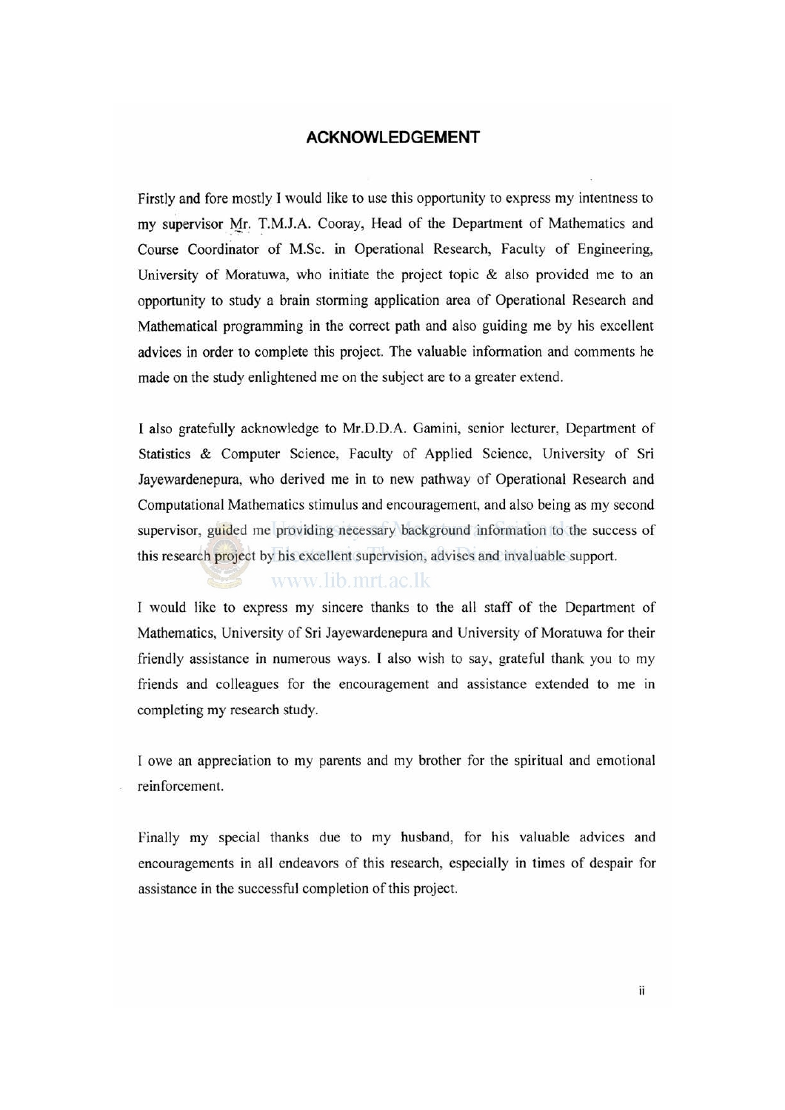#### **ACKNOWLEDGEMENT**

Firstly and fore mostly I would like to use this opportunity to express my intentness to my supervisor Mr. T.M.J.A. Cooray, Head of the Department of Mathematics and Course Coordinator of M.Sc. in Operational Research, Faculty of Engineering, University of Moratuwa, who initiate the project topic & also provided me to an opportunity to study a brain storming application area of Operational Research and Mathematical programming in the correct path and also guiding me by his excellent advices in order to complete this project. The valuable information and comments he made on the study enlightened me on the subject are to a greater extend.

I also gratefully acknowledge to Mr.D.D.A. Gamini, senior lecturer, Department of Statistics & Computer Science, Faculty of Applied Science, University of Sri Jayewardenepura, who derived me in to new pathway of Operational Research and Computational Mathematics stimulus and encouragement, and also being as my second supervisor, guided me providing necessary background information to the success of this research project by his excellent supervision, advises and invaluable support.

#### www.lib.mrt.ac.lk

I would like to express my sincere thanks to the all staff of the Department of Mathematics, University of Sri Jayewardenepura and University of Moratuwa for their friendly assistance in numerous ways. I also wish to say, grateful thank you to my friends and colleagues for the encouragement and assistance extended to me in completing my research study.

I owe an appreciation to my parents and my brother for the spiritual and emotional reinforcement.

Finally my special thanks due to my husband, for his valuable advices and encouragements in all endeavors of this research, especially in times of despair for assistance in the successful completion of this project.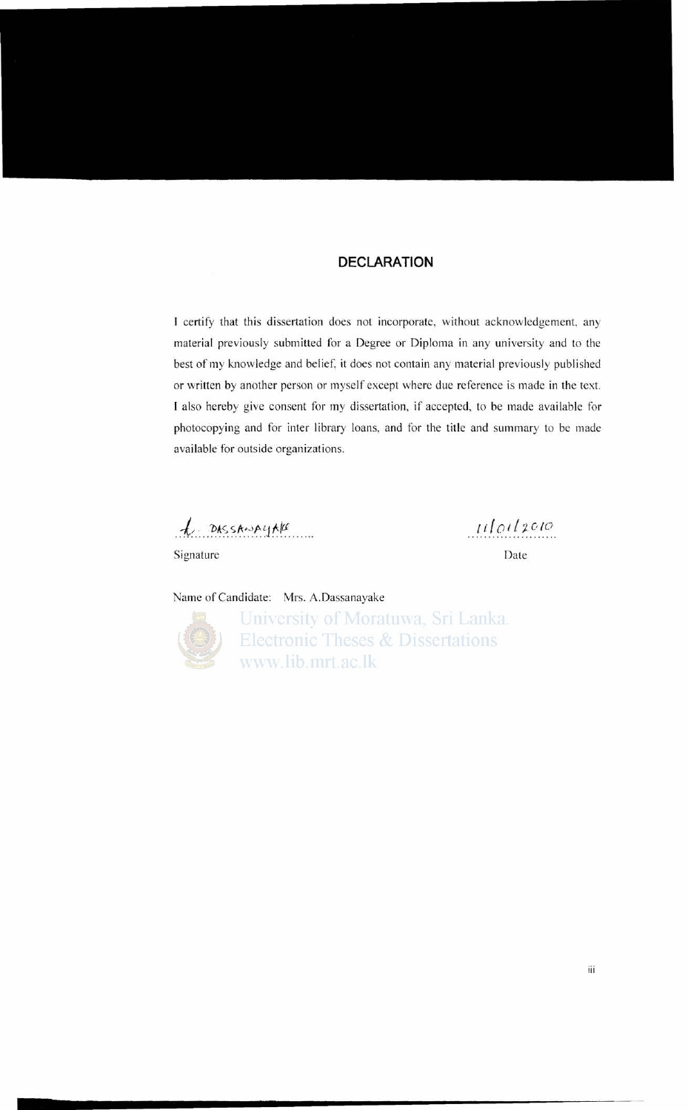#### **DECLARATION**

I certify that this dissertation does not incorporate, without acknowledgement, any material previously submitted for a Degree or Diploma in any university and to the best of my knowledge and belief, it does not contain any material previously published or written by another person or myself except where due reference is made in the text. I also hereby give consent for my dissertation, if accepted, to be made available for photocopying and for inter library loans, and for the title and summary to be made available for outside organizations.

 $l$  DASSANALIAN

Signature Date

*ul oil: c to*

Name of Candidate: Mrs. A.Dassanayake



University of Moratuwa, Sri Lanka. **Electronic Theses & Dissertations** www.lib.mrt.ac.lk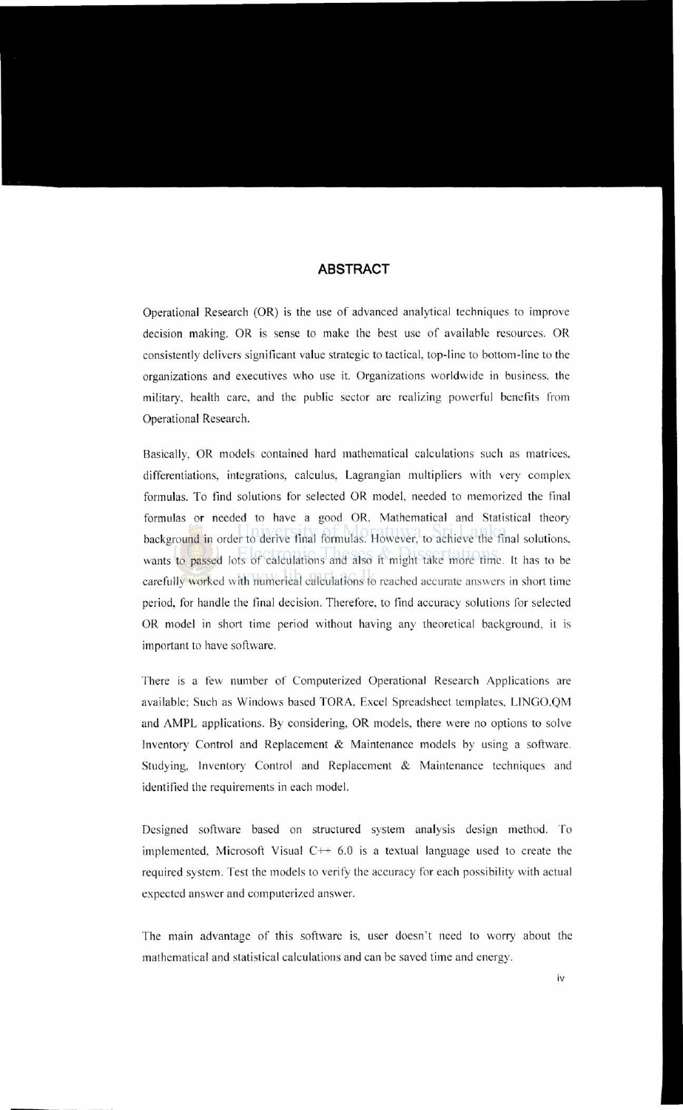#### **ABSTRACT**

Operational Research (OR) is the use of advanced analytical techniques to improve decision making. OR is sense to make the best use of available resources. OR consistently delivers significant value strategic to tactical, top-line to bottom-line to the organizations and executives who use it. Organizations worldwide in business. the military, health care, and the public sector are realizing powerful benefits from Operational Research.

Basically, OR models contained hard mathematical calculations such as matrices. differentiations, integrations, calculus, Lagrangian multipliers with very complex formulas. To find solutions for selected OR model, needed to memorized the final formulas or needed to have a good OR, Mathematical and Statistical theory background in order to derive final formulas. However, to achieve the final solutions, wants to passed lots of calculations and also it might take more time. It has to be carefully worked with numerical calculations to reached accurate answers in short time period, for handle the final decision. Therefore, to find accuracy solutions for selected OR model in short time period without having any theoretical background, it is important to have software.

There is a few number of Computerized Operational Research Applications are available; Such as Windows based TORA, Excel Spreadsheet templates, LINGO,QM and AMPL applications. By considering, OR models, there were no options to solve Inventory Control and Replacement & Maintenance models by using a software. Studying, Inventory Control and Replacement & Maintenance techniques and identified the requirements in each model.

Designed software based on structured system analysis design method. To implemented, Microsoft Visual  $C++6.0$  is a textual language used to create the required system. Test the models to verify the accuracy for each possibility with actual expected answer and computerized answer.

The main advantage of this software is, user doesn't need to worry about the mathematical and statistical calculations and can be saved time and energy.

iv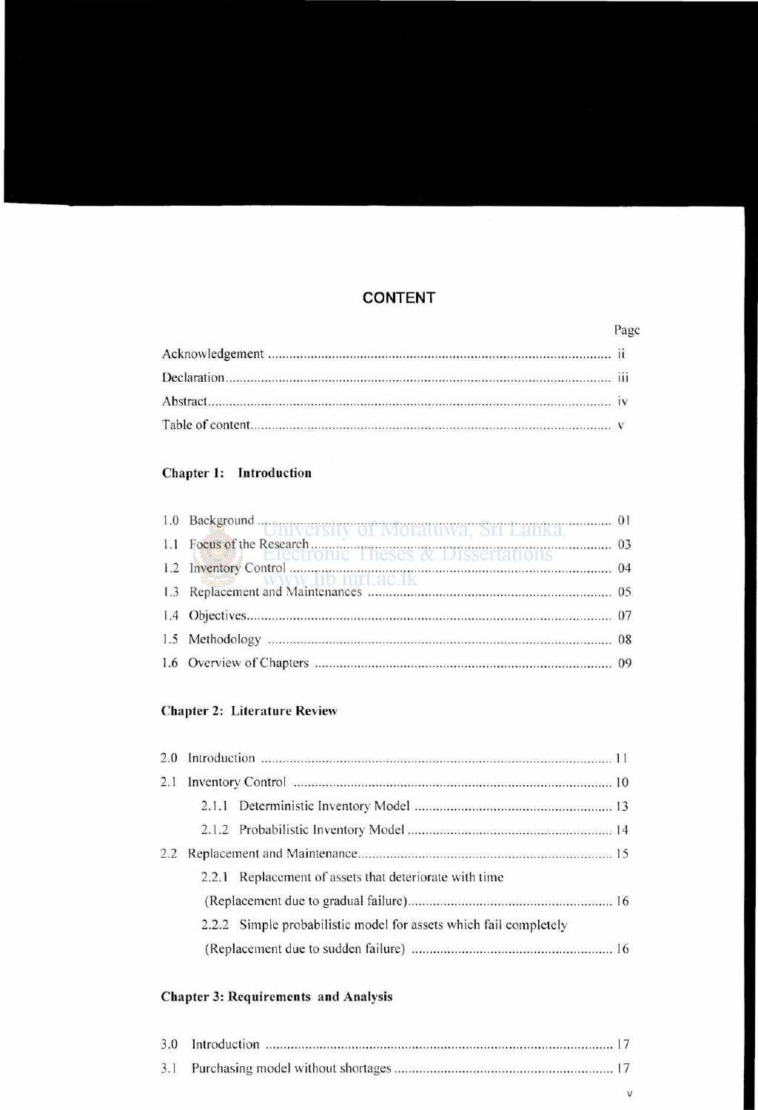#### **CONTENT**

### Chapter 1: Introduction

| 1.0 Background  UTHVETSILY Of MOTALUWA, STI LAHKA.              |  |
|-----------------------------------------------------------------|--|
| 1.1 Focus of the Research. Electronic Theses & Dissertations 03 |  |
|                                                                 |  |
|                                                                 |  |
|                                                                 |  |
|                                                                 |  |
|                                                                 |  |

#### Chapter 2: Literature Review

| 2.1 |       |                                                                   |
|-----|-------|-------------------------------------------------------------------|
|     |       |                                                                   |
|     |       |                                                                   |
| 2.2 |       |                                                                   |
|     | 2.2.1 | Replacement of assets that deteriorate with time                  |
|     |       |                                                                   |
|     |       | 2.2.2 Simple probabilistic model for assets which fail completely |
|     |       |                                                                   |

#### Chapter 3: Requirements and Analysis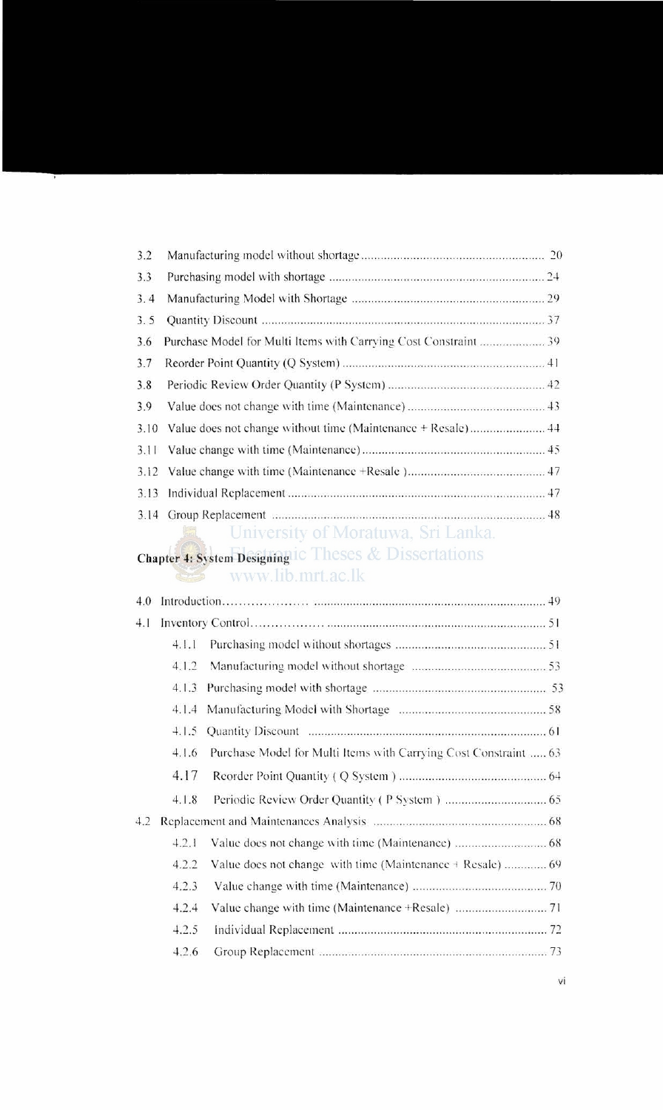| 3.2  |                                                              |  |
|------|--------------------------------------------------------------|--|
| 3.3  |                                                              |  |
| 3.4  |                                                              |  |
| 3.5  |                                                              |  |
| 3.6  |                                                              |  |
| 3.7  |                                                              |  |
| 3.8  |                                                              |  |
| 3.9  |                                                              |  |
| 3.10 | Value does not change without time (Maintenance + Resale) 44 |  |
| 3.11 |                                                              |  |
|      |                                                              |  |
| 3.13 |                                                              |  |
| 3.14 |                                                              |  |

## University of Moratuwa, Sri Lanka.

# Chapter 4: System Designing ic Theses & Dissertations<br>WWW.lib.mrt.ac.lk

| 4.0 |       |                                                                  |  |
|-----|-------|------------------------------------------------------------------|--|
| 4.1 |       |                                                                  |  |
|     | 4.1.1 |                                                                  |  |
|     | 4.1.2 |                                                                  |  |
|     | 4.1.3 |                                                                  |  |
|     | 4.1.4 |                                                                  |  |
|     | 4.1.5 |                                                                  |  |
|     | 4.1.6 | Purchase Model for Multi Items with Carrying Cost Constraint  63 |  |
|     | 4.17  |                                                                  |  |
|     | 4.1.8 |                                                                  |  |
| 4.2 |       |                                                                  |  |
|     | 4.2.1 |                                                                  |  |
|     | 4.2.2 | Value does not change with time (Maintenance + Resale)  69       |  |
|     | 4.2.3 |                                                                  |  |
|     | 4.2.4 |                                                                  |  |
|     | 4.2.5 |                                                                  |  |
|     | 4.2.6 |                                                                  |  |
|     |       |                                                                  |  |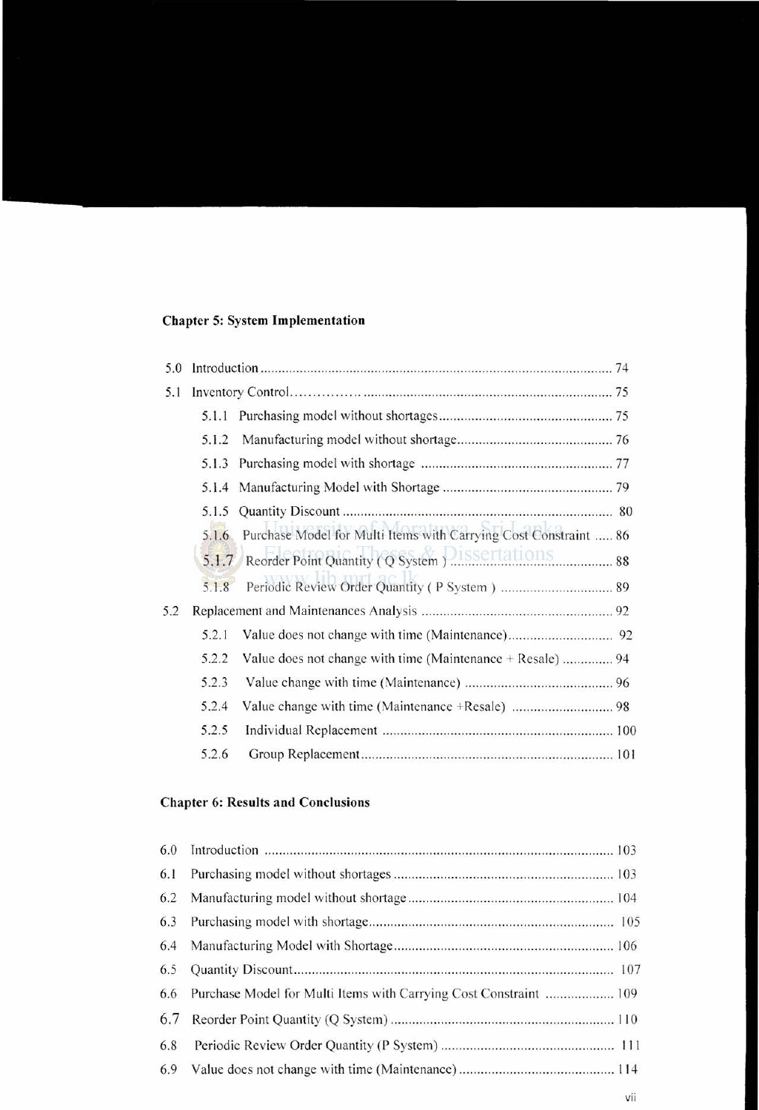#### **Chapter** 5: System **Implementation**

| 5.0 |       |                                                                  |
|-----|-------|------------------------------------------------------------------|
| 5.1 |       |                                                                  |
|     | 5.1.1 |                                                                  |
|     | 5.1.2 |                                                                  |
|     | 5.1.3 |                                                                  |
|     |       |                                                                  |
|     | 5.1.5 |                                                                  |
|     | 5.1.6 | Purchase Model for Multi Items with Carrying Cost Constraint  86 |
|     |       | 5.1.7 Reorder Point Quantity (Q System ). ISSETTATIONS           |
|     | 5.1.8 |                                                                  |
| 5.2 |       |                                                                  |
|     | 5.2.1 |                                                                  |
|     | 5.2.2 | Value does not change with time (Maintenance + Resale)  94       |
|     | 5.2.3 |                                                                  |
|     | 5.2.4 |                                                                  |
|     | 5.2.5 |                                                                  |
|     | 5.2.6 |                                                                  |

#### **Chapter 6: Results and Conclusions**

| 6.1 |                                                                   |
|-----|-------------------------------------------------------------------|
| 6.2 |                                                                   |
| 6.3 |                                                                   |
| 6.4 |                                                                   |
| 6.5 |                                                                   |
| 6.6 | Purchase Model for Multi Items with Carrying Cost Constraint  109 |
| 6.7 |                                                                   |
| 6.8 |                                                                   |
| 6.9 |                                                                   |
|     |                                                                   |